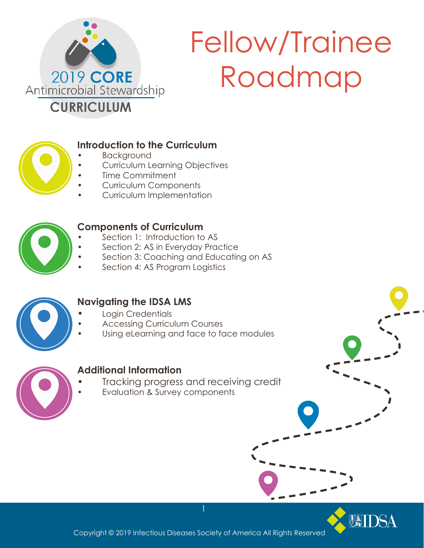

# Fellow/Trainee Roadmap



## **Introduction to the Curriculum**

- **Background**
- Curriculum Learning Objectives
- Time Commitment
- Curriculum Components
- Curriculum Implementation



# **Components of Curriculum**

- Section 1: Introduction to AS
- Section 2: AS in Everyday Practice
- Section 3: Coaching and Educating on AS
- Section 4: AS Program Logistics



# **Navigating the IDSA LMS**

- **•** Login Credentials
- Accessing Curriculum Courses
- Using eLearning and face to face modules



# **Additional Information**

- **•** Tracking progress and receiving credit
- Evaluation & Survey components



Copyright © 2019 Infectious Diseases Society of America All Rights Reserved

1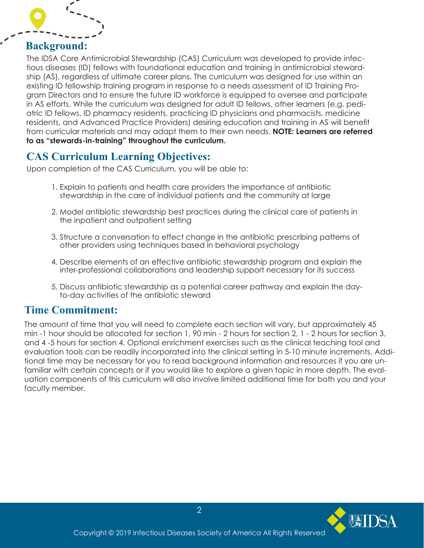

# **Background:**

The IDSA Core Antimicrobial Stewardship (CAS) Curriculum was developed to provide infectious diseases (ID) fellows with foundational education and training in antimicrobial stewardship (AS), regardless of ultimate career plans. The curriculum was designed for use within an existing ID fellowship training program in response to a needs assessment of ID Training Program Directors and to ensure the future ID workforce is equipped to oversee and participate in AS efforts. While the curriculum was designed for adult ID fellows, other learners (e.g. pediatric ID fellows, ID pharmacy residents, practicing ID physicians and pharmacists, medicine residents, and Advanced Practice Providers) desiring education and training in AS will benefit from curricular materials and may adapt them to their own needs. **NOTE: Learners are referred to as "stewards-in-training" throughout the curriculum.** 

# **CAS Curriculum Learning Objectives:**

Upon completion of the CAS Curriculum, you will be able to:

- 1. Explain to patients and health care providers the importance of antibiotic stewardship in the care of individual patients and the community at large
- 2. Model antibiotic stewardship best practices during the clinical care of patients in the inpatient and outpatient setting
- 3. Structure a conversation to effect change in the antibiotic prescribing patterns of other providers using techniques based in behavioral psychology
- 4. Describe elements of an effective antibiotic stewardship program and explain the inter-professional collaborations and leadership support necessary for its success
- 5. Discuss antibiotic stewardship as a potential career pathway and explain the day to-day activities of the antibiotic steward

# **Time Commitment:**

The amount of time that you will need to complete each section will vary, but approximately 45 min -1 hour should be allocated for section 1, 90 min - 2 hours for section 2, 1 - 2 hours for section 3, and 4 -5 hours for section 4. Optional enrichment exercises such as the clinical teaching tool and evaluation tools can be readily incorporated into the clinical setting in 5-10 minute increments. Additional time may be necessary for you to read background information and resources if you are unfamiliar with certain concepts or if you would like to explore a given topic in more depth. The evaluation components of this curriculum will also involve limited additional time for both you and your faculty member.

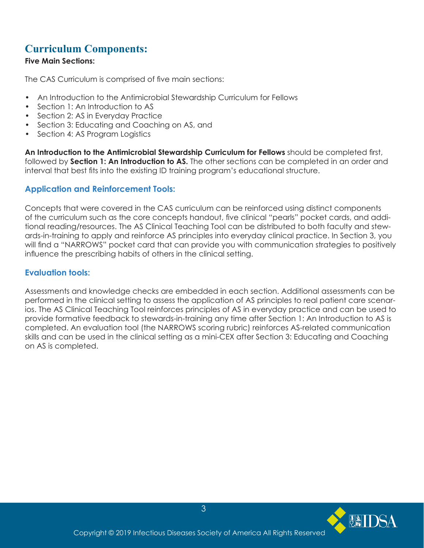# **Curriculum Components:**

#### **Five Main Sections:**

The CAS Curriculum is comprised of five main sections:

- An Introduction to the Antimicrobial Stewardship Curriculum for Fellows
- Section 1: An Introduction to AS
- Section 2: AS in Everyday Practice
- Section 3: Educating and Coaching on AS, and
- Section 4: AS Program Logistics

**An Introduction to the Antimicrobial Stewardship Curriculum for Fellows** should be completed first, followed by **Section 1: An Introduction to AS.** The other sections can be completed in an order and interval that best fits into the existing ID training program's educational structure.

## **Application and Reinforcement Tools:**

Concepts that were covered in the CAS curriculum can be reinforced using distinct components of the curriculum such as the core concepts handout, five clinical "pearls" pocket cards, and additional reading/resources. The AS Clinical Teaching Tool can be distributed to both faculty and stewards-in-training to apply and reinforce AS principles into everyday clinical practice. In Section 3, you will find a "NARROWS" pocket card that can provide you with communication strategies to positively influence the prescribing habits of others in the clinical setting.

### **Evaluation tools:**

Assessments and knowledge checks are embedded in each section. Additional assessments can be performed in the clinical setting to assess the application of AS principles to real patient care scenarios. The AS Clinical Teaching Tool reinforces principles of AS in everyday practice and can be used to provide formative feedback to stewards-in-training any time after Section 1: An Introduction to AS is completed. An evaluation tool (the NARROWS scoring rubric) reinforces AS-related communication skills and can be used in the clinical setting as a mini-CEX after Section 3: Educating and Coaching on AS is completed.

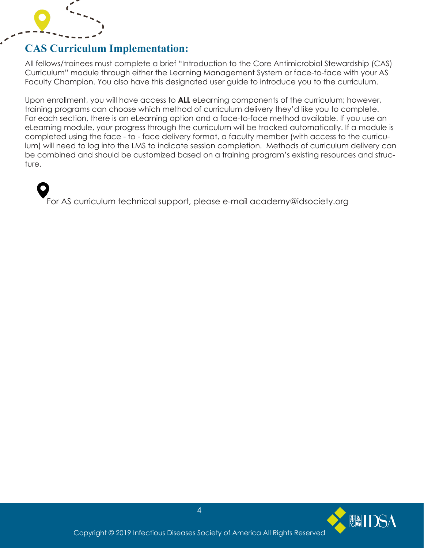

# **CAS Curriculum Implementation:**

All fellows/trainees must complete a brief "Introduction to the Core Antimicrobial Stewardship (CAS) Curriculum" module through either the Learning Management System or face-to-face with your AS Faculty Champion. You also have this designated user guide to introduce you to the curriculum.

Upon enrollment, you will have access to **ALL** eLearning components of the curriculum; however, training programs can choose which method of curriculum delivery they'd like you to complete. For each section, there is an eLearning option and a face-to-face method available. If you use an eLearning module, your progress through the curriculum will be tracked automatically. If a module is completed using the face - to - face delivery format, a faculty member (with access to the curriculum) will need to log into the LMS to indicate session completion. Methods of curriculum delivery can be combined and should be customized based on a training program's existing resources and structure.

For AS curriculum technical support, please e-mail academy@idsociety.org

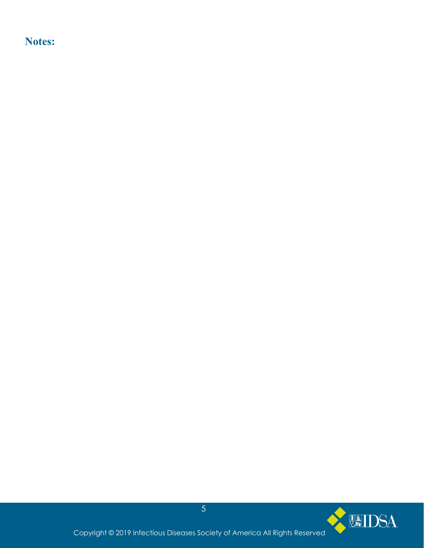**Notes:**

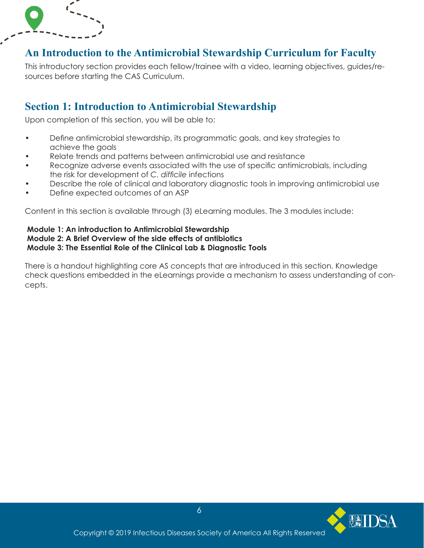# **An Introduction to the Antimicrobial Stewardship Curriculum for Faculty**

This introductory section provides each fellow/trainee with a video, learning objectives, guides/resources before starting the CAS Curriculum.

# **Section 1: Introduction to Antimicrobial Stewardship**

Upon completion of this section, you will be able to:

- Define antimicrobial stewardship, its programmatic goals, and key strategies to achieve the goals
- Relate trends and patterns between antimicrobial use and resistance
- Recognize adverse events associated with the use of specific antimicrobials, including the risk for development of *C. difficile* infections
- Describe the role of clinical and laboratory diagnostic tools in improving antimicrobial use
- Define expected outcomes of an ASP

Content in this section is available through (3) eLearning modules. The 3 modules include:

#### **Module 1: An introduction to Antimicrobial Stewardship Module 2: A Brief Overview of the side effects of antibiotics Module 3: The Essential Role of the Clinical Lab & Diagnostic Tools**

There is a handout highlighting core AS concepts that are introduced in this section. Knowledge check questions embedded in the eLearnings provide a mechanism to assess understanding of concepts.

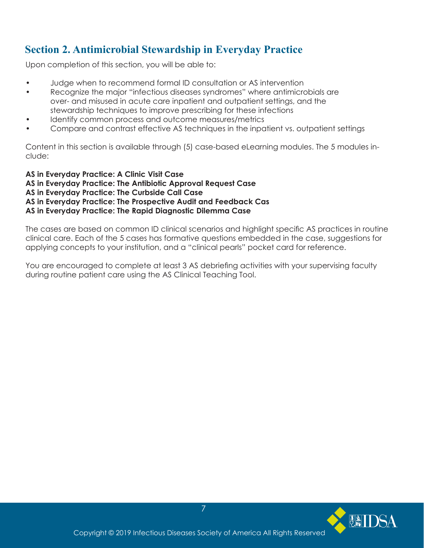# **Section 2. Antimicrobial Stewardship in Everyday Practice**

Upon completion of this section, you will be able to:

- Judge when to recommend formal ID consultation or AS intervention
- Recognize the major "infectious diseases syndromes" where antimicrobials are over- and misused in acute care inpatient and outpatient settings, and the stewardship techniques to improve prescribing for these infections
- Identify common process and outcome measures/metrics
- Compare and contrast effective AS techniques in the inpatient vs. outpatient settings

Content in this section is available through (5) case-based eLearning modules. The 5 modules include:

**AS in Everyday Practice: A Clinic Visit Case AS in Everyday Practice: The Antibiotic Approval Request Case AS in Everyday Practice: The Curbside Call Case AS in Everyday Practice: The Prospective Audit and Feedback Cas AS in Everyday Practice: The Rapid Diagnostic Dilemma Case**

The cases are based on common ID clinical scenarios and highlight specific AS practices in routine clinical care. Each of the 5 cases has formative questions embedded in the case, suggestions for applying concepts to your institution, and a "clinical pearls" pocket card for reference.

You are encouraged to complete at least 3 AS debriefing activities with your supervising faculty during routine patient care using the AS Clinical Teaching Tool.

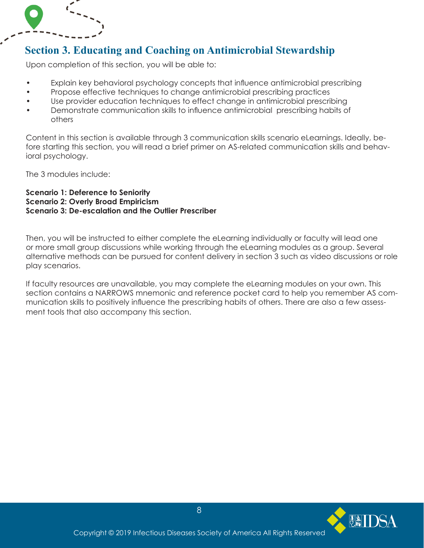# **Section 3. Educating and Coaching on Antimicrobial Stewardship**

Upon completion of this section, you will be able to:

- Explain key behavioral psychology concepts that influence antimicrobial prescribing
- Propose effective techniques to change antimicrobial prescribing practices
- Use provider education techniques to effect change in antimicrobial prescribing
- Demonstrate communication skills to influence antimicrobial prescribing habits of others

Content in this section is available through 3 communication skills scenario eLearnings. Ideally, before starting this section, you will read a brief primer on AS-related communication skills and behavioral psychology.

The 3 modules include:

#### **Scenario 1: Deference to Seniority Scenario 2: Overly Broad Empiricism Scenario 3: De-escalation and the Outlier Prescriber**

Then, you will be instructed to either complete the eLearning individually or faculty will lead one or more small group discussions while working through the eLearning modules as a group. Several alternative methods can be pursued for content delivery in section 3 such as video discussions or role play scenarios.

If faculty resources are unavailable, you may complete the eLearning modules on your own. This section contains a NARROWS mnemonic and reference pocket card to help you remember AS communication skills to positively influence the prescribing habits of others. There are also a few assessment tools that also accompany this section.

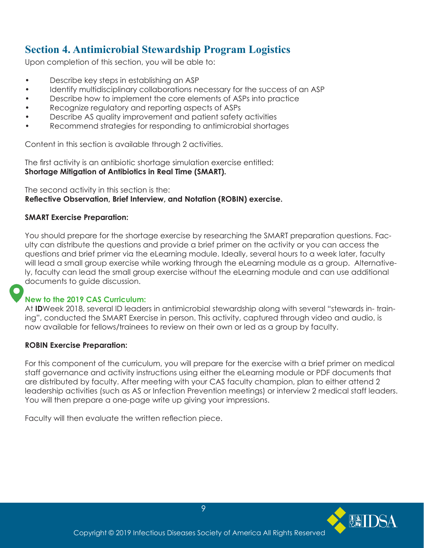# **Section 4. Antimicrobial Stewardship Program Logistics**

Upon completion of this section, you will be able to:

- Describe key steps in establishing an ASP
- Identify multidisciplinary collaborations necessary for the success of an ASP
- Describe how to implement the core elements of ASPs into practice
- Recognize regulatory and reporting aspects of ASPs
- Describe AS quality improvement and patient safety activities
- Recommend strategies for responding to antimicrobial shortages

Content in this section is available through 2 activities.

The first activity is an antibiotic shortage simulation exercise entitled: **Shortage Mitigation of Antibiotics in Real Time (SMART).** 

The second activity in this section is the: **Reflective Observation, Brief Interview, and Notation (ROBIN) exercise.** 

#### **SMART Exercise Preparation:**

You should prepare for the shortage exercise by researching the SMART preparation questions. Faculty can distribute the questions and provide a brief primer on the activity or you can access the questions and brief primer via the eLearning module. Ideally, several hours to a week later, faculty will lead a small group exercise while working through the eLearning module as a group. Alternatively, faculty can lead the small group exercise without the eLearning module and can use additional documents to guide discussion.

#### **New to the 2019 CAS Curriculum:**

At **ID**Week 2018, several ID leaders in antimicrobial stewardship along with several "stewards in- training", conducted the SMART Exercise in person. This activity, captured through video and audio, is now available for fellows/trainees to review on their own or led as a group by faculty.

#### **ROBIN Exercise Preparation:**

For this component of the curriculum, you will prepare for the exercise with a brief primer on medical staff governance and activity instructions using either the eLearning module or PDF documents that are distributed by faculty. After meeting with your CAS faculty champion, plan to either attend 2 leadership activities (such as AS or Infection Prevention meetings) or interview 2 medical staff leaders. You will then prepare a one-page write up giving your impressions.

Faculty will then evaluate the written reflection piece.

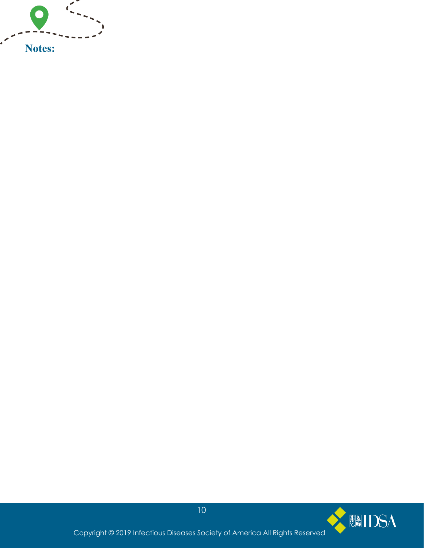

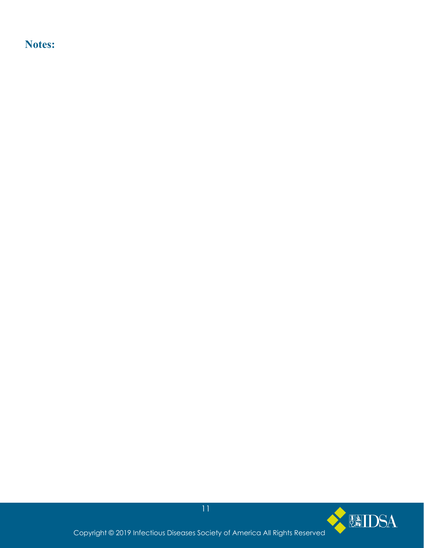**Notes:**



Copyright © 2019 Infectious Diseases Society of America All Rights Reserved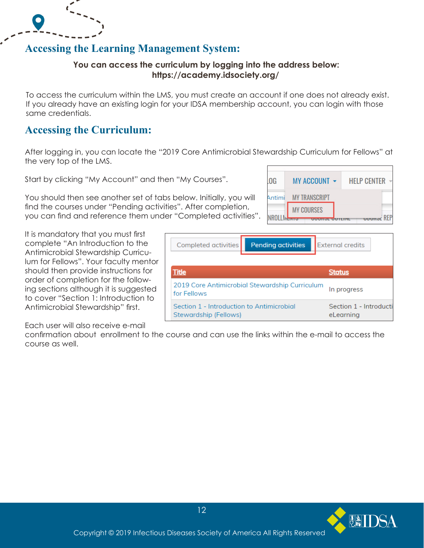# **Accessing the Learning Management System:**

#### **You can access the curriculum by logging into the address below: https://academy.idsociety.org/**

To access the curriculum within the LMS, you must create an account if one does not already exist. If you already have an existing login for your IDSA membership account, you can login with those same credentials.

# **Accessing the Curriculum:**

After logging in, you can locate the "2019 Core Antimicrobial Stewardship Curriculum for Fellows" at the very top of the LMS.

Completed activities

**Title** 

for Fellows

Start by clicking "My Account" and then "My Courses".

You should then see another set of tabs below. Initially, you will find the courses under "Pending activities". After completion, you can find and reference them under "Completed activities".

It is mandatory that you must first complete "An Introduction to the Antimicrobial Stewardship Curriculum for Fellows". Your faculty mentor should then provide instructions for order of completion for the following sections although it is suggested to cover "Section 1: Introduction to Antimicrobial Stewardship" first.

Each user will also receive e-mail

confirmation about enrollment to the course and can use the links within the e-mail to access the course as well.

Stewardship (Fellows)

12



**External credits** 

**Status** 

In progress

eLearning

Section 1 - Introducti

**Pending activities** 

2019 Core Antimicrobial Stewardship Curriculum

Section 1 - Introduction to Antimicrobial





 $\sum_{i=1}^{n}$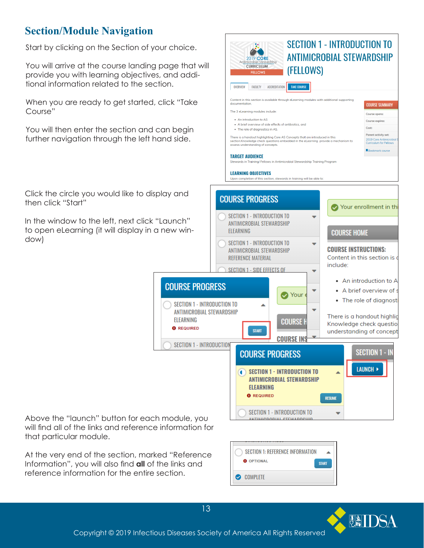# **Section/Module Navigation**

Start by clicking on the Section of your choice.

You will arrive at the course landing page that will provide you with learning objectives, and additional information related to the section.

When you are ready to get started, click "Take Course"

You will then enter the section and can begin further navigation through the left hand side.

Click the circle you would like to display and then click "Start"

In the window to the left, next click "Launch" to open eLearning (it will display in a new window)



At the very end of the section, marked "Reference Information", you will also find **all** of the links and reference information for the entire section.

that particular module.





Copyright © 2019 Infectious Diseases Society of America All Rights Reserved

13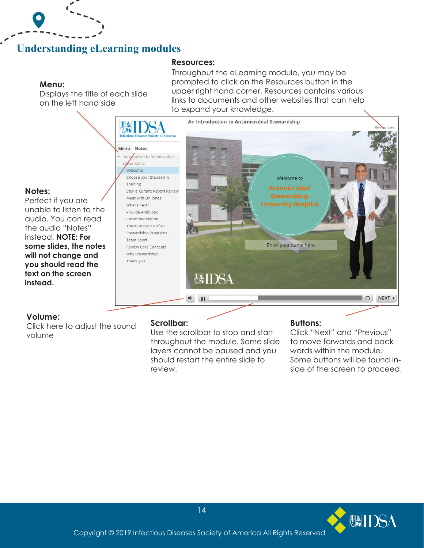# **Understanding eLearning modules**

#### **Menu:**

 $\mathbf{r}$ 

Displays the title of each slide on the left hand side

Throughout the eLearning module, you may be prompted to click on the Resources button in the upper right hand corner. Resources contains various links to documents and other websites that can help to expand your knowledge.



# **Volume:**

**instead.**

**Notes:** 

Perfect if you are

the audio "Notes" instead. **NOTE: For** 

**text on the screen** 

Click here to adjust the sound volume

#### **Scrollbar:**

**Resources:** 

Use the scrollbar to stop and start throughout the module. Some slide layers cannot be paused and you should restart the entire slide to review.

#### **Buttons:**

Click "Next" and "Previous" to move forwards and backwards within the module. Some buttons will be found inside of the screen to proceed.

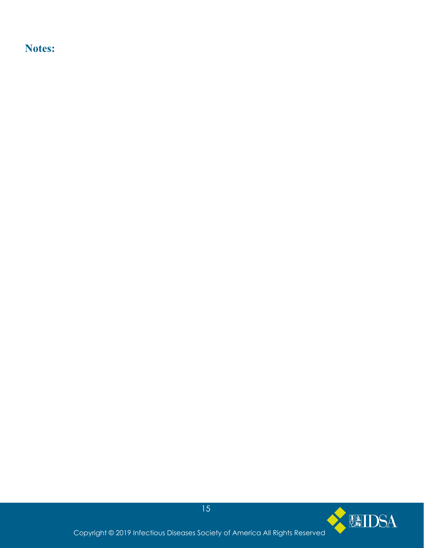**Notes:**

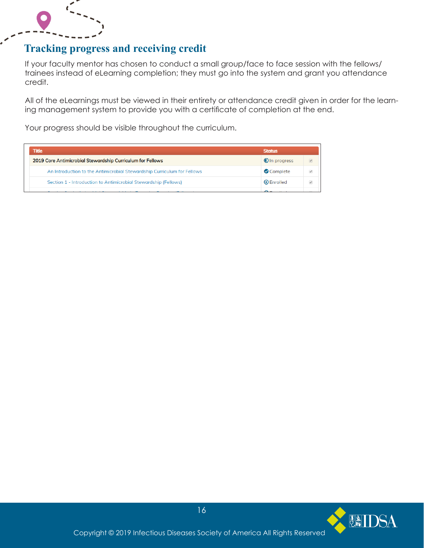

# **Tracking progress and receiving credit**

If your faculty mentor has chosen to conduct a small group/face to face session with the fellows/ trainees instead of eLearning completion; they must go into the system and grant you attendance credit.

All of the eLearnings must be viewed in their entirety or attendance credit given in order for the learning management system to provide you with a certificate of completion at the end.

Your progress should be visible throughout the curriculum.

| <b>Title</b>                                                            | <b>Status</b>        |
|-------------------------------------------------------------------------|----------------------|
| 2019 Core Antimicrobial Stewardship Curriculum for Fellows              | <b>O</b> In progress |
| An Introduction to the Antimicrobial Stewardship Curriculum for Fellows | Complete             |
| Section 1 - Introduction to Antimicrobial Stewardship (Fellows)         | <b>O</b> Enrolled    |
|                                                                         |                      |